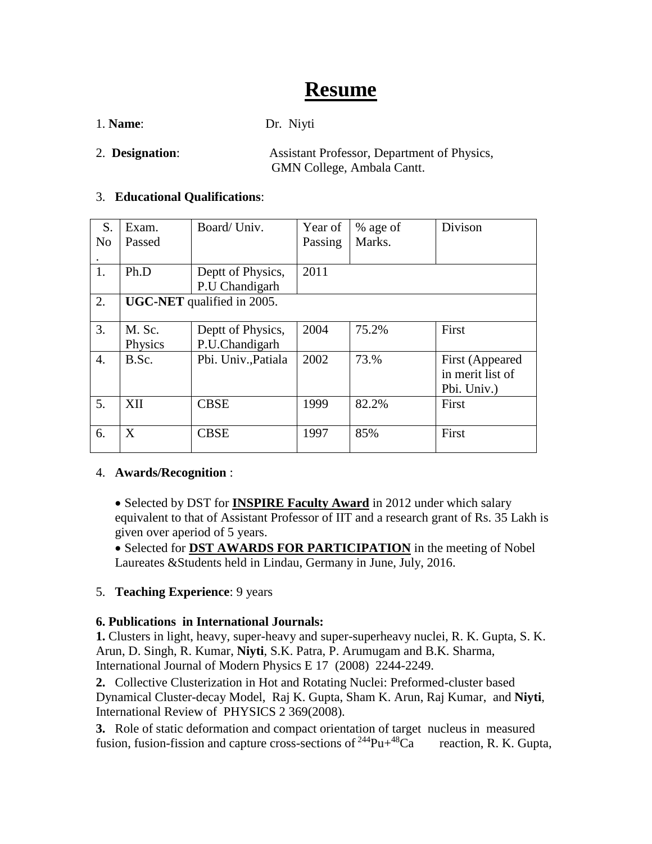# **Resume**

1. **Name**: Dr. Niyti

2. **Designation**: Assistant Professor, Department of Physics, GMN College, Ambala Cantt.

### 3. **Educational Qualifications**:

| S.               | Exam.                             | Board/ Univ.        | Year of | % age of | Divison          |
|------------------|-----------------------------------|---------------------|---------|----------|------------------|
| N <sub>o</sub>   | Passed                            |                     | Passing | Marks.   |                  |
|                  |                                   |                     |         |          |                  |
| 1.               | Ph.D                              | Deptt of Physics,   | 2011    |          |                  |
|                  |                                   | P.U Chandigarh      |         |          |                  |
| 2.               | <b>UGC-NET</b> qualified in 2005. |                     |         |          |                  |
|                  |                                   |                     |         |          |                  |
| 3.               | M. Sc.                            | Deptt of Physics,   | 2004    | 75.2%    | First            |
|                  | Physics                           | P.U.Chandigarh      |         |          |                  |
| $\overline{4}$ . | B.Sc.                             | Pbi. Univ., Patiala | 2002    | 73.%     | First (Appeared  |
|                  |                                   |                     |         |          | in merit list of |
|                  |                                   |                     |         |          | Pbi. Univ.)      |
| 5.               | XII                               | <b>CBSE</b>         | 1999    | 82.2%    | First            |
|                  |                                   |                     |         |          |                  |
| 6.               | X                                 | <b>CBSE</b>         | 1997    | 85%      | First            |
|                  |                                   |                     |         |          |                  |

#### $\overline{\phantom{a}}$ 4. **Awards/Recognition** :

• Selected by DST for **INSPIRE Faculty Award** in 2012 under which salary equivalent to that of Assistant Professor of IIT and a research grant of Rs. 35 Lakh is given over aperiod of 5 years.

• Selected for **DST AWARDS FOR PARTICIPATION** in the meeting of Nobel Laureates &Students held in Lindau, Germany in June, July, 2016.

## 5. **Teaching Experience**: 9 years

## **6. Publications in International Journals:**

**1.** Clusters in light, heavy, super-heavy and super-superheavy nuclei, R. K. Gupta, S. K. Arun, D. Singh, R. Kumar, **Niyti**, S.K. Patra, P. Arumugam and B.K. Sharma, International Journal of Modern Physics E 17 (2008) 2244-2249.

**2.** Collective Clusterization in Hot and Rotating Nuclei: Preformed-cluster based Dynamical Cluster-decay Model, Raj K. Gupta, Sham K. Arun, Raj Kumar, and **Niyti**, International Review of PHYSICS 2 369(2008).

**3.** Role of static deformation and compact orientation of target nucleus in measured fusion, fusion-fission and capture cross-sections of  $^{244}Pu + ^{48}Ca$  reaction, R. K. Gupta,